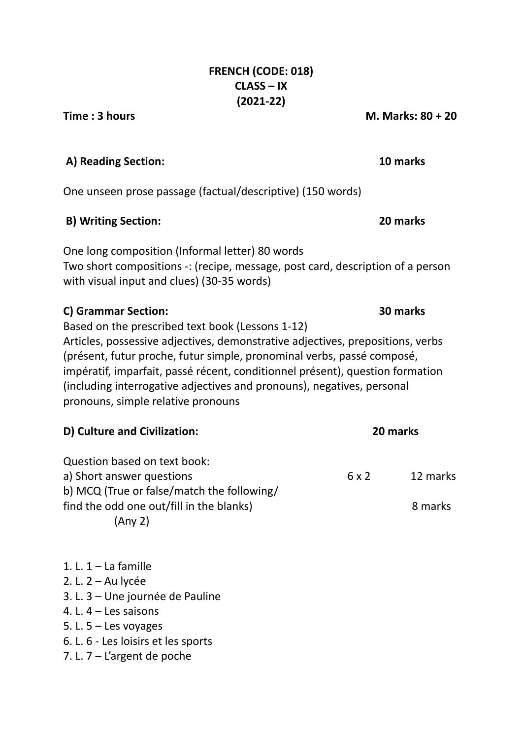# **FRENCH (CODE: 018) CLASS – IX (2021-22)**

**Time : 3 hours M. Marks: 80 + 20**

# **A) Reading Section: 10 marks**

One unseen prose passage (factual/descriptive) (150 words)

# **B) Writing Section: 20 marks**

One long composition (Informal letter) 80 words Two short compositions -: (recipe, message, post card, description of a person with visual input and clues) (30-35 words)

# **C) Grammar Section: 30 marks**

Based on the prescribed text book (Lessons 1-12)

Articles, possessive adjectives, demonstrative adjectives, prepositions, verbs (présent, futur proche, futur simple, pronominal verbs, passé composé, impératif, imparfait, passé récent, conditionnel présent), question formation (including interrogative adjectives and pronouns), negatives, personal pronouns, simple relative pronouns

| D) Culture and Civilization:               | 20 marks |          |
|--------------------------------------------|----------|----------|
| Question based on text book:               |          |          |
| a) Short answer questions                  | 6x2      | 12 marks |
| b) MCQ (True or false/match the following/ |          |          |
| find the odd one out/fill in the blanks)   |          | 8 marks  |
| (Any 2)                                    |          |          |

1. L.  $1 -$  La famille 2. L. 2 – Au lycée 3. L. 3 – Une journée de Pauline 4. L. 4 – Les saisons 5. L.  $5 -$  Les voyages 6. L. 6 - Les loisirs et les sports 7. L. 7 – L'argent de poche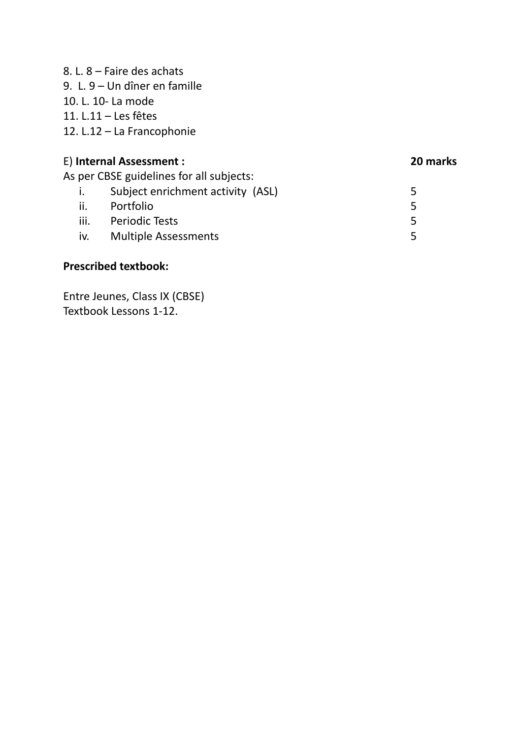8. L. 8 – Faire des achats 9. L. 9 – Un dîner en famille 10. L. 10- La mode 11. L.11 – Les fêtes 12. L.12 – La Francophonie E) **Internal Assessment : 20 marks** As per CBSE guidelines for all subjects:

|                | per cose garacimes for an sabjects. |    |
|----------------|-------------------------------------|----|
| $\mathbf{I}$ . | Subject enrichment activity (ASL)   | 5. |
| ii.            | Portfolio                           | 5. |
| iii.           | <b>Periodic Tests</b>               | 5. |
| iv.            | <b>Multiple Assessments</b>         |    |
|                |                                     |    |

# **Prescribed textbook:**

Entre Jeunes, Class IX (CBSE) Textbook Lessons 1-12.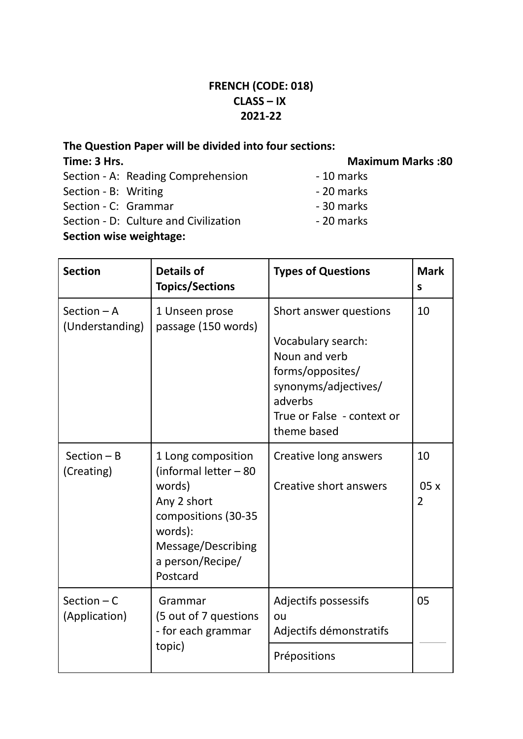# **FRENCH (CODE: 018) CLASS – IX 2021-22**

## **The Question Paper will be divided into four sections:**

## **Time: 3 Hrs. Maximum Marks :80**

Section - A: Reading Comprehension - 10 marks Section - B: Writing - 20 marks Section - C: Grammar - 30 marks Section - D: Culture and Civilization **- 20 marks Section wise weightage:**

**Section Details of Topics/Sections Types of Questions** | Mark **s** Section – A (Understanding) 1 Unseen prose passage (150 words) Short answer questions Vocabulary search: Noun and verb forms/opposites/ synonyms/adjectives/ adverbs True or False - context or theme based 10 Section – B (Creating) 1 Long composition (informal letter – 80 words) Any 2 short compositions (30-35 words): Message/Describing a person/Recipe/ Postcard Creative long answers Creative short answers 10 05 x 2 Section – C (Application) Grammar (5 out of 7 questions - for each grammar topic) Adjectifs possessifs ou Adjectifs démonstratifs 05 Prépositions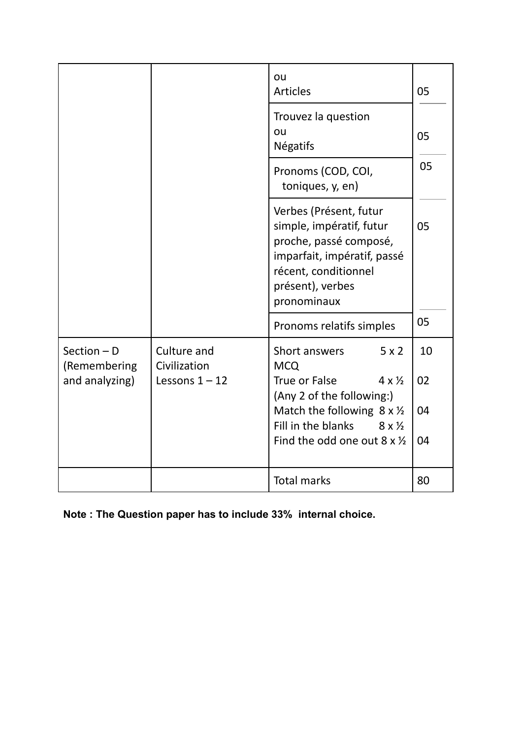|                               |                             | ou<br><b>Articles</b>                                                                                                                                                  | 05 |
|-------------------------------|-----------------------------|------------------------------------------------------------------------------------------------------------------------------------------------------------------------|----|
|                               |                             | Trouvez la question<br>ou<br><b>Négatifs</b>                                                                                                                           | 05 |
|                               |                             | Pronoms (COD, COI,<br>toniques, y, en)                                                                                                                                 | 05 |
|                               |                             | Verbes (Présent, futur<br>simple, impératif, futur<br>proche, passé composé,<br>imparfait, impératif, passé<br>récent, conditionnel<br>présent), verbes<br>pronominaux | 05 |
|                               |                             | Pronoms relatifs simples                                                                                                                                               | 05 |
| Section $-$ D<br>(Remembering | Culture and<br>Civilization | Short answers<br>5x2<br><b>MCQ</b>                                                                                                                                     | 10 |
| and analyzing)                | Lessons $1 - 12$            | True or False<br>$4 \times \frac{1}{2}$<br>(Any 2 of the following:)                                                                                                   | 02 |
|                               |                             | Match the following $8 \times \frac{1}{2}$<br>Fill in the blanks<br>$8 \times \frac{1}{2}$                                                                             | 04 |
|                               |                             | Find the odd one out $8 \times \frac{1}{2}$                                                                                                                            | 04 |
|                               |                             | <b>Total marks</b>                                                                                                                                                     | 80 |

**Note : The Question paper has to include 33% internal choice.**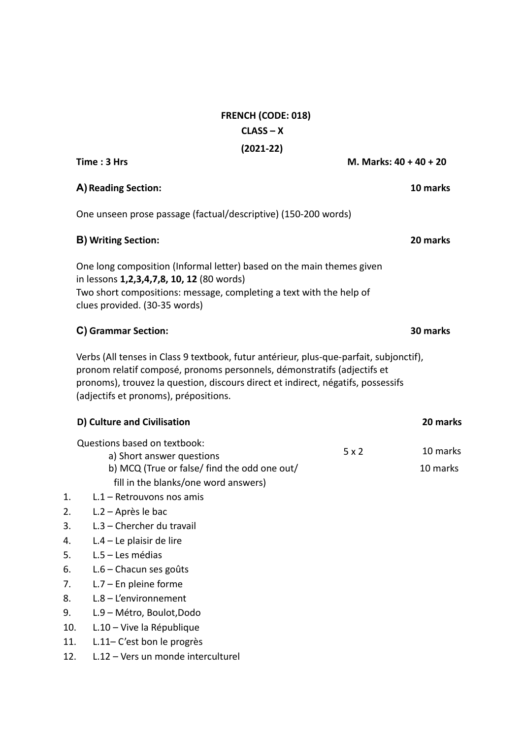# **FRENCH (CODE: 018) CLASS – X (2021-22)**

|     | Time: 3 Hrs                                                                                                                                                                                                                                                                                    | M. Marks: 40 + 40 + 20 |                      |
|-----|------------------------------------------------------------------------------------------------------------------------------------------------------------------------------------------------------------------------------------------------------------------------------------------------|------------------------|----------------------|
|     | A) Reading Section:                                                                                                                                                                                                                                                                            |                        | 10 marks             |
|     | One unseen prose passage (factual/descriptive) (150-200 words)                                                                                                                                                                                                                                 |                        |                      |
|     | <b>B) Writing Section:</b>                                                                                                                                                                                                                                                                     |                        | 20 marks             |
|     | One long composition (Informal letter) based on the main themes given<br>in lessons 1,2,3,4,7,8, 10, 12 (80 words)<br>Two short compositions: message, completing a text with the help of<br>clues provided. (30-35 words)                                                                     |                        |                      |
|     | C) Grammar Section:                                                                                                                                                                                                                                                                            |                        | 30 marks             |
|     | Verbs (All tenses in Class 9 textbook, futur antérieur, plus-que-parfait, subjonctif),<br>pronom relatif composé, pronoms personnels, démonstratifs (adjectifs et<br>pronoms), trouvez la question, discours direct et indirect, négatifs, possessifs<br>(adjectifs et pronoms), prépositions. |                        |                      |
|     | D) Culture and Civilisation                                                                                                                                                                                                                                                                    |                        | 20 marks             |
|     | Questions based on textbook:<br>a) Short answer questions<br>b) MCQ (True or false/ find the odd one out/                                                                                                                                                                                      | 5x2                    | 10 marks<br>10 marks |
| 1.  | fill in the blanks/one word answers)<br>L.1 - Retrouvons nos amis                                                                                                                                                                                                                              |                        |                      |
| 2.  | L.2 - Après le bac                                                                                                                                                                                                                                                                             |                        |                      |
| 3.  | L.3 - Chercher du travail                                                                                                                                                                                                                                                                      |                        |                      |
| 4.  | $L.4 - Le$ plaisir de lire                                                                                                                                                                                                                                                                     |                        |                      |
| 5.  | L.5 - Les médias                                                                                                                                                                                                                                                                               |                        |                      |
| 6.  | L.6 - Chacun ses goûts                                                                                                                                                                                                                                                                         |                        |                      |
| 7.  | $L.7$ – En pleine forme                                                                                                                                                                                                                                                                        |                        |                      |
| 8.  | $L.8 - L'$ environnement                                                                                                                                                                                                                                                                       |                        |                      |
| 9.  | L.9 - Métro, Boulot, Dodo                                                                                                                                                                                                                                                                      |                        |                      |
| 10. | L.10 - Vive la République                                                                                                                                                                                                                                                                      |                        |                      |
| 11. | L.11-C'est bon le progrès                                                                                                                                                                                                                                                                      |                        |                      |
| 12. | L.12 - Vers un monde interculturel                                                                                                                                                                                                                                                             |                        |                      |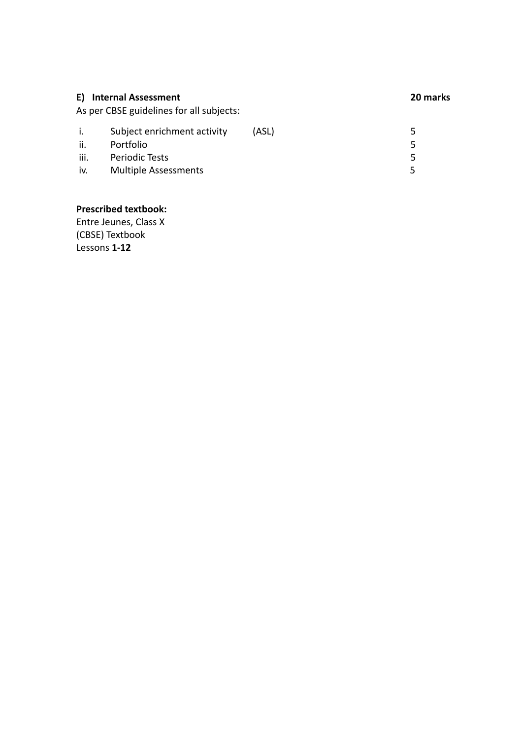| E) Internal Assessment<br>As per CBSE guidelines for all subjects: |                             |       | 20 marks      |
|--------------------------------------------------------------------|-----------------------------|-------|---------------|
| i.                                                                 | Subject enrichment activity | (ASL) | $\mathcal{L}$ |
| ii.                                                                | Portfolio                   |       | 5             |
| iii.                                                               | Periodic Tests              |       | 5             |
| iv.                                                                | <b>Multiple Assessments</b> |       |               |

### **Prescribed textbook:**

Entre Jeunes, Class X (CBSE) Textbook Lessons **1-12**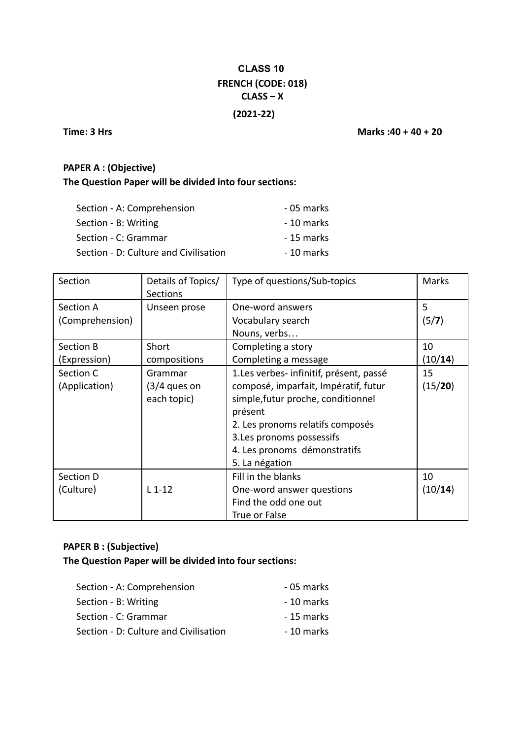# **CLASS 10 FRENCH (CODE: 018) CLASS – X**

### **(2021-22)**

**Time: 3 Hrs Marks :40 + 40 + 20**

### **PAPER A : (Objective)**

## **The Question Paper will be divided into four sections:**

| Section - A: Comprehension            | - 05 marks |
|---------------------------------------|------------|
| Section - B: Writing                  | - 10 marks |
| Section - C: Grammar                  | - 15 marks |
| Section - D: Culture and Civilisation | - 10 marks |

| Section         | Details of Topics/<br><b>Sections</b> | Type of questions/Sub-topics             | <b>Marks</b> |
|-----------------|---------------------------------------|------------------------------------------|--------------|
| Section A       | Unseen prose                          | One-word answers                         | 5            |
| (Comprehension) |                                       | Vocabulary search                        | (5/7)        |
|                 |                                       | Nouns, verbs                             |              |
| Section B       | Short                                 | Completing a story                       | 10           |
| (Expression)    | compositions                          | Completing a message                     | (10/14)      |
| Section C       | Grammar                               | 1. Les verbes- infinitif, présent, passé | 15           |
| (Application)   | $(3/4$ ques on                        | composé, imparfait, Impératif, futur     | (15/20)      |
|                 | each topic)                           | simple, futur proche, conditionnel       |              |
|                 |                                       | présent                                  |              |
|                 |                                       | 2. Les pronoms relatifs composés         |              |
|                 |                                       | 3. Les pronoms possessifs                |              |
|                 |                                       | 4. Les pronoms démonstratifs             |              |
|                 |                                       | 5. La négation                           |              |
| Section D       |                                       | Fill in the blanks                       | 10           |
| (Culture)       | $L_1 - 12$                            | One-word answer questions                | (10/14)      |
|                 |                                       | Find the odd one out                     |              |
|                 |                                       | True or False                            |              |

## **PAPER B : (Subjective)**

#### **The Question Paper will be divided into four sections:**

| Section - A: Comprehension            | - 05 marks |
|---------------------------------------|------------|
| Section - B: Writing                  | - 10 marks |
| Section - C: Grammar                  | - 15 marks |
| Section - D: Culture and Civilisation | - 10 marks |